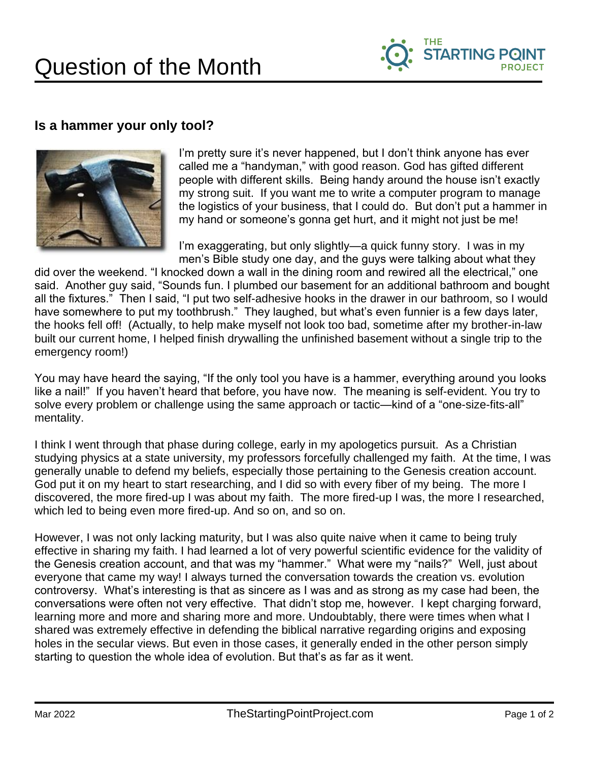

## **Is a hammer your only tool?**



I'm pretty sure it's never happened, but I don't think anyone has ever called me a "handyman," with good reason. God has gifted different people with different skills. Being handy around the house isn't exactly my strong suit. If you want me to write a computer program to manage the logistics of your business, that I could do. But don't put a hammer in my hand or someone's gonna get hurt, and it might not just be me!

I'm exaggerating, but only slightly—a quick funny story. I was in my men's Bible study one day, and the guys were talking about what they

did over the weekend. "I knocked down a wall in the dining room and rewired all the electrical," one said. Another guy said, "Sounds fun. I plumbed our basement for an additional bathroom and bought all the fixtures." Then I said, "I put two self-adhesive hooks in the drawer in our bathroom, so I would have somewhere to put my toothbrush." They laughed, but what's even funnier is a few days later, the hooks fell off! (Actually, to help make myself not look too bad, sometime after my brother-in-law built our current home, I helped finish drywalling the unfinished basement without a single trip to the emergency room!)

You may have heard the saying, "If the only tool you have is a hammer, everything around you looks like a nail!" If you haven't heard that before, you have now. The meaning is self-evident. You try to solve every problem or challenge using the same approach or tactic—kind of a "one-size-fits-all" mentality.

I think I went through that phase during college, early in my apologetics pursuit. As a Christian studying physics at a state university, my professors forcefully challenged my faith. At the time, I was generally unable to defend my beliefs, especially those pertaining to the Genesis creation account. God put it on my heart to start researching, and I did so with every fiber of my being. The more I discovered, the more fired-up I was about my faith. The more fired-up I was, the more I researched, which led to being even more fired-up. And so on, and so on.

However, I was not only lacking maturity, but I was also quite naive when it came to being truly effective in sharing my faith. I had learned a lot of very powerful scientific evidence for the validity of the Genesis creation account, and that was my "hammer." What were my "nails?" Well, just about everyone that came my way! I always turned the conversation towards the creation vs. evolution controversy. What's interesting is that as sincere as I was and as strong as my case had been, the conversations were often not very effective. That didn't stop me, however. I kept charging forward, learning more and more and sharing more and more. Undoubtably, there were times when what I shared was extremely effective in defending the biblical narrative regarding origins and exposing holes in the secular views. But even in those cases, it generally ended in the other person simply starting to question the whole idea of evolution. But that's as far as it went.